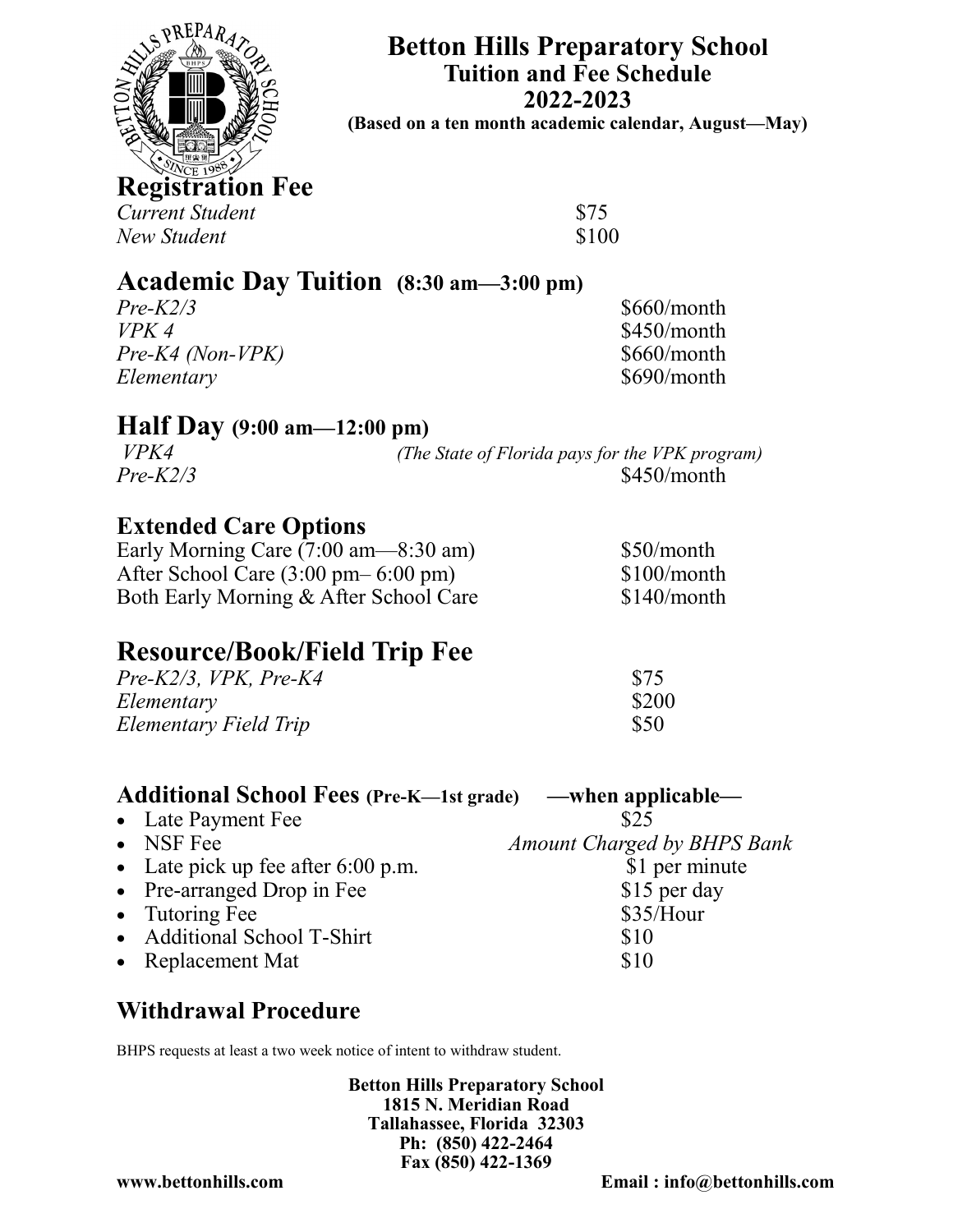

**Betton Hills Preparatory School Tuition and Fee Schedule 2022-2023**

**(Based on a ten month academic calendar, August—May)**

**Registration Fee** *Current Student* \$75

*New Student* \$100

## **Academic Day Tuition (8:30 am—3:00 pm)**

*Pre-K2/3* \$660/month *VPK 4* \$450/month *Pre-K4 (Non-VPK)* \$660/month *Elementary* \$690/month

### **Half Day (9:00 am—12:00 pm)**

*VPK4 (The State of Florida pays for the VPK program) Pre-K2/3* \$450/month

### **Extended Care Options**

Early Morning Care  $(7:00 \text{ am} - 8:30 \text{ am})$  \$50/month After School Care (3:00 pm– 6:00 pm) \$100/month Both Early Morning & After School Care \$140/month

# **Resource/Book/Field Trip Fee**

| $Pre-K2/3$ , VPK, Pre-K4 | \$75  |
|--------------------------|-------|
| Elementary               | \$200 |
| Elementary Field Trip    | \$50  |

### **Additional School Fees (Pre-K—1st grade) —when applicable—**

• Late Payment Fee  $$25$ 

- NSF Fee *Amount Charged by BHPS Bank*  • Late pick up fee after 6:00 p.m. \$1 per minute<br>• Pre-arranged Drop in Fee \$15 per day
- $\bullet$  Pre-arranged Drop in Fee
- Tutoring Fee  $$35/How$
- Additional School T-Shirt \$10
- Replacement Mat \$10

## **Withdrawal Procedure**

BHPS requests at least a two week notice of intent to withdraw student.

**Betton Hills Preparatory School 1815 N. Meridian Road Tallahassee, Florida 32303 Ph: (850) 422-2464 Fax (850) 422-1369**

**www.bettonhills.com Email : info@bettonhills.com**